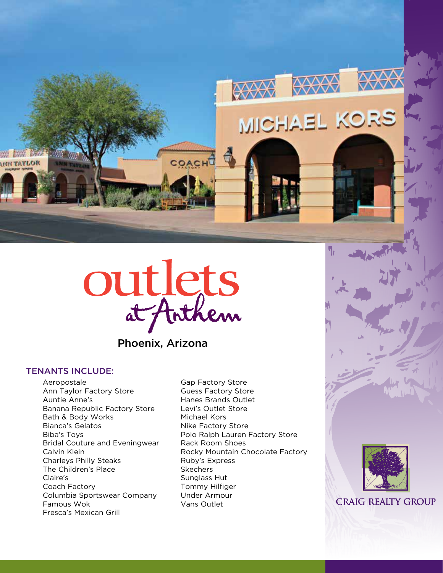

OACH

Phoenix, Arizona

# TENANTS INCLUDE:

**NOJYAT HIM** 

Aeropostale Ann Taylor Factory Store Auntie Anne's Banana Republic Factory Store Bath & Body Works Bianca's Gelatos Biba's Toys Bridal Couture and Eveningwear Calvin Klein Charleys Philly Steaks The Children's Place Claire's Coach Factory Columbia Sportswear Company Famous Wok Fresca's Mexican Grill

Gap Factory Store Guess Factory Store Hanes Brands Outlet Levi's Outlet Store Michael Kors Nike Factory Store Polo Ralph Lauren Factory Store Rack Room Shoes Rocky Mountain Chocolate Factory Ruby's Express Skechers Sunglass Hut Tommy Hilfiger Under Armour Vans Outlet

**XXXX** XXX

MICHAEL KORS



**CRAIG REALTY GROUP**